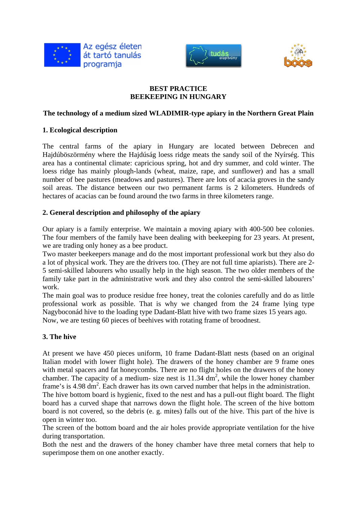





### **BEST PRACTICE BEEKEEPING IN HUNGARY**

#### **The technology of a medium sized WLADIMIR-type apiary in the Northern Great Plain**

### **1. Ecological description**

The central farms of the apiary in Hungary are located between Debrecen and Hajdúböszörmény where the Hajdúság loess ridge meats the sandy soil of the Nyírség. This area has a continental climate: capricious spring, hot and dry summer, and cold winter. The loess ridge has mainly plough-lands (wheat, maize, rape, and sunflower) and has a small number of bee pastures (meadows and pastures). There are lots of acacia groves in the sandy soil areas. The distance between our two permanent farms is 2 kilometers. Hundreds of hectares of acacias can be found around the two farms in three kilometers range.

### **2. General description and philosophy of the apiary**

Our apiary is a family enterprise. We maintain a moving apiary with 400-500 bee colonies. The four members of the family have been dealing with beekeeping for 23 years. At present, we are trading only honey as a bee product.

Two master beekeepers manage and do the most important professional work but they also do a lot of physical work. They are the drivers too. (They are not full time apiarists). There are 2- 5 semi-skilled labourers who usually help in the high season. The two older members of the family take part in the administrative work and they also control the semi-skilled labourers' work.

The main goal was to produce residue free honey, treat the colonies carefully and do as little professional work as possible. That is why we changed from the 24 frame lying type Nagyboconád hive to the loading type Dadant-Blatt hive with two frame sizes 15 years ago. Now, we are testing 60 pieces of beehives with rotating frame of broodnest.

### **3. The hive**

At present we have 450 pieces uniform, 10 frame Dadant-Blatt nests (based on an original Italian model with lower flight hole). The drawers of the honey chamber are 9 frame ones with metal spacers and fat honeycombs. There are no flight holes on the drawers of the honey chamber. The capacity of a medium- size nest is  $11.34 \text{ dm}^2$ , while the lower honey chamber frame's is 4.98 dm<sup>2</sup>. Each drawer has its own carved number that helps in the administration.

The hive bottom board is hygienic, fixed to the nest and has a pull-out flight board. The flight board has a curved shape that narrows down the flight hole. The screen of the hive bottom board is not covered, so the debris (e. g. mites) falls out of the hive. This part of the hive is open in winter too.

The screen of the bottom board and the air holes provide appropriate ventilation for the hive during transportation.

Both the nest and the drawers of the honey chamber have three metal corners that help to superimpose them on one another exactly.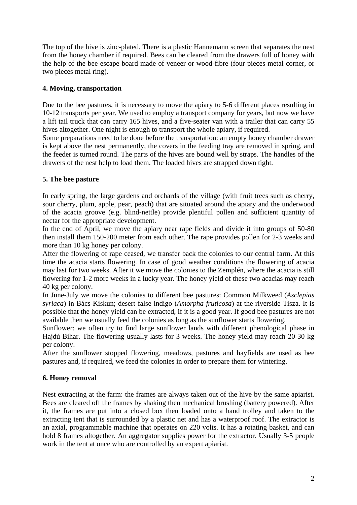The top of the hive is zinc-plated. There is a plastic Hannemann screen that separates the nest from the honey chamber if required. Bees can be cleared from the drawers full of honey with the help of the bee escape board made of veneer or wood-fibre (four pieces metal corner, or two pieces metal ring).

## **4. Moving, transportation**

Due to the bee pastures, it is necessary to move the apiary to 5-6 different places resulting in 10-12 transports per year. We used to employ a transport company for years, but now we have a lift tail truck that can carry 165 hives, and a five-seater van with a trailer that can carry 55 hives altogether. One night is enough to transport the whole apiary, if required.

Some preparations need to be done before the transportation: an empty honey chamber drawer is kept above the nest permanently, the covers in the feeding tray are removed in spring, and the feeder is turned round. The parts of the hives are bound well by straps. The handles of the drawers of the nest help to load them. The loaded hives are strapped down tight.

### **5. The bee pasture**

In early spring, the large gardens and orchards of the village (with fruit trees such as cherry, sour cherry, plum, apple, pear, peach) that are situated around the apiary and the underwood of the acacia groove (e.g. blind-nettle) provide plentiful pollen and sufficient quantity of nectar for the appropriate development.

In the end of April, we move the apiary near rape fields and divide it into groups of 50-80 then install them 150-200 meter from each other. The rape provides pollen for 2-3 weeks and more than 10 kg honey per colony.

After the flowering of rape ceased, we transfer back the colonies to our central farm. At this time the acacia starts flowering. In case of good weather conditions the flowering of acacia may last for two weeks. After it we move the colonies to the Zemplén, where the acacia is still flowering for 1-2 more weeks in a lucky year. The honey yield of these two acacias may reach 40 kg per colony.

In June-July we move the colonies to different bee pastures: Common Milkweed (*Asclepias syriaca*) in Bács-Kiskun; desert false indigo (*Amorpha fruticosa*) at the riverside Tisza. It is possible that the honey yield can be extracted, if it is a good year. If good bee pastures are not available then we usually feed the colonies as long as the sunflower starts flowering.

Sunflower: we often try to find large sunflower lands with different phenological phase in Hajdú-Bihar. The flowering usually lasts for 3 weeks. The honey yield may reach 20-30 kg per colony.

After the sunflower stopped flowering, meadows, pastures and hayfields are used as bee pastures and, if required, we feed the colonies in order to prepare them for wintering.

# **6. Honey removal**

Nest extracting at the farm: the frames are always taken out of the hive by the same apiarist. Bees are cleared off the frames by shaking then mechanical brushing (battery powered). After it, the frames are put into a closed box then loaded onto a hand trolley and taken to the extracting tent that is surrounded by a plastic net and has a waterproof roof. The extractor is an axial, programmable machine that operates on 220 volts. It has a rotating basket, and can hold 8 frames altogether. An aggregator supplies power for the extractor. Usually 3-5 people work in the tent at once who are controlled by an expert apiarist.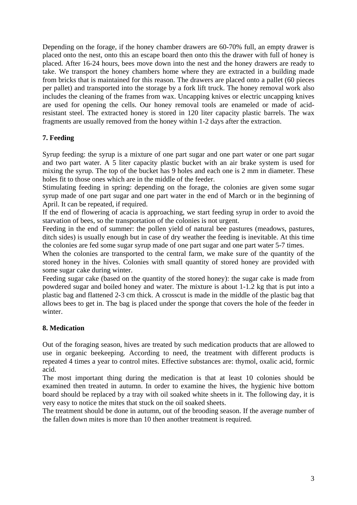Depending on the forage, if the honey chamber drawers are 60-70% full, an empty drawer is placed onto the nest, onto this an escape board then onto this the drawer with full of honey is placed. After 16-24 hours, bees move down into the nest and the honey drawers are ready to take. We transport the honey chambers home where they are extracted in a building made from bricks that is maintained for this reason. The drawers are placed onto a pallet (60 pieces per pallet) and transported into the storage by a fork lift truck. The honey removal work also includes the cleaning of the frames from wax. Uncapping knives or electric uncapping knives are used for opening the cells. Our honey removal tools are enameled or made of acidresistant steel. The extracted honey is stored in 120 liter capacity plastic barrels. The wax fragments are usually removed from the honey within 1-2 days after the extraction.

## **7. Feeding**

Syrup feeding: the syrup is a mixture of one part sugar and one part water or one part sugar and two part water. A 5 liter capacity plastic bucket with an air brake system is used for mixing the syrup. The top of the bucket has 9 holes and each one is 2 mm in diameter. These holes fit to those ones which are in the middle of the feeder.

Stimulating feeding in spring: depending on the forage, the colonies are given some sugar syrup made of one part sugar and one part water in the end of March or in the beginning of April. It can be repeated, if required.

If the end of flowering of acacia is approaching, we start feeding syrup in order to avoid the starvation of bees, so the transportation of the colonies is not urgent.

Feeding in the end of summer: the pollen yield of natural bee pastures (meadows, pastures, ditch sides) is usually enough but in case of dry weather the feeding is inevitable. At this time the colonies are fed some sugar syrup made of one part sugar and one part water 5-7 times.

When the colonies are transported to the central farm, we make sure of the quantity of the stored honey in the hives. Colonies with small quantity of stored honey are provided with some sugar cake during winter.

Feeding sugar cake (based on the quantity of the stored honey): the sugar cake is made from powdered sugar and boiled honey and water. The mixture is about 1-1.2 kg that is put into a plastic bag and flattened 2-3 cm thick. A crosscut is made in the middle of the plastic bag that allows bees to get in. The bag is placed under the sponge that covers the hole of the feeder in winter.

### **8. Medication**

Out of the foraging season, hives are treated by such medication products that are allowed to use in organic beekeeping. According to need, the treatment with different products is repeated 4 times a year to control mites. Effective substances are: thymol, oxalic acid, formic acid.

The most important thing during the medication is that at least 10 colonies should be examined then treated in autumn. In order to examine the hives, the hygienic hive bottom board should be replaced by a tray with oil soaked white sheets in it. The following day, it is very easy to notice the mites that stuck on the oil soaked sheets.

The treatment should be done in autumn, out of the brooding season. If the average number of the fallen down mites is more than 10 then another treatment is required.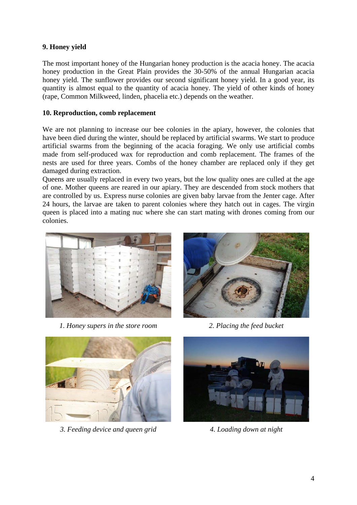# **9. Honey yield**

The most important honey of the Hungarian honey production is the acacia honey. The acacia honey production in the Great Plain provides the 30-50% of the annual Hungarian acacia honey yield. The sunflower provides our second significant honey yield. In a good year, its quantity is almost equal to the quantity of acacia honey. The yield of other kinds of honey (rape, Common Milkweed, linden, phacelia etc.) depends on the weather.

#### **10. Reproduction, comb replacement**

We are not planning to increase our bee colonies in the apiary, however, the colonies that have been died during the winter, should be replaced by artificial swarms. We start to produce artificial swarms from the beginning of the acacia foraging. We only use artificial combs made from self-produced wax for reproduction and comb replacement. The frames of the nests are used for three years. Combs of the honey chamber are replaced only if they get damaged during extraction.

Queens are usually replaced in every two years, but the low quality ones are culled at the age of one. Mother queens are reared in our apiary. They are descended from stock mothers that are controlled by us. Express nurse colonies are given baby larvae from the Jenter cage. After 24 hours, the larvae are taken to parent colonies where they hatch out in cages. The virgin queen is placed into a mating nuc where she can start mating with drones coming from our colonies.



*1. Honey supers in the store room 2. Placing the feed bucket* 





*3. Feeding device and queen grid 4. Loading down at night* 

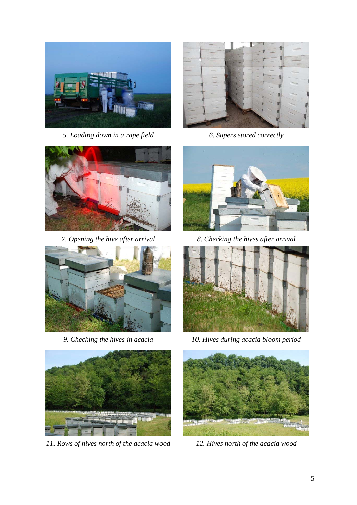

*5. Loading down in a rape field 6. Supers stored correctly* 









*11. Rows of hives north of the acacia wood 12. Hives north of the acacia wood* 



*7. Opening the hive after arrival 8. Checking the hives after arrival* 



*9. Checking the hives in acacia 10. Hives during acacia bloom period*